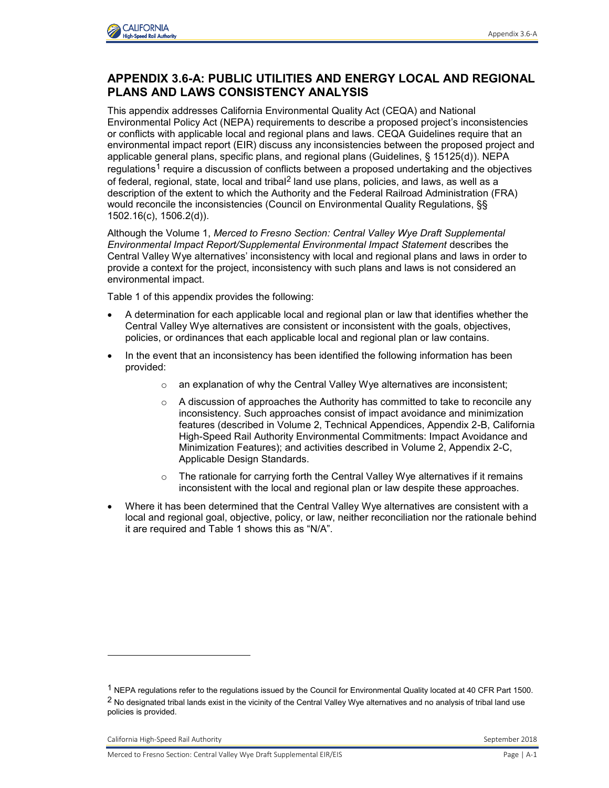

## **APPENDIX 3.6-A: PUBLIC UTILITIES AND ENERGY LOCAL AND REGIONAL PLANS AND LAWS CONSISTENCY ANALYSIS**

This appendix addresses California Environmental Quality Act (CEQA) and National Environmental Policy Act (NEPA) requirements to describe a proposed project's inconsistencies or conflicts with applicable local and regional plans and laws. CEQA Guidelines require that an environmental impact report (EIR) discuss any inconsistencies between the proposed project and applicable general plans, specific plans, and regional plans (Guidelines, § 15125(d)). NEPA regulations<sup>1</sup> require a discussion of conflicts between a proposed undertaking and the objectives of federal, regional, state, local and tribal<sup>2</sup> land use plans, policies, and laws, as well as a description of the extent to which the Authority and the Federal Railroad Administration (FRA) would reconcile the inconsistencies (Council on Environmental Quality Regulations, §§ 1502.16(c), 1506.2(d)).

Although the Volume 1, *Merced to Fresno Section: Central Valley Wye Draft Supplemental Environmental Impact Report/Supplemental Environmental Impact Statement* describes the Central Valley Wye alternatives' inconsistency with local and regional plans and laws in order to provide a context for the project, inconsistency with such plans and laws is not considered an environmental impact.

Table 1 of this appendix provides the following:

- A determination for each applicable local and regional plan or law that identifies whether the Central Valley Wye alternatives are consistent or inconsistent with the goals, objectives, policies, or ordinances that each applicable local and regional plan or law contains.
- In the event that an inconsistency has been identified the following information has been provided:
	- $\circ$  an explanation of why the Central Valley Wye alternatives are inconsistent;
	- $\circ$  A discussion of approaches the Authority has committed to take to reconcile any inconsistency. Such approaches consist of impact avoidance and minimization features (described in Volume 2, Technical Appendices, Appendix 2-B, California High-Speed Rail Authority Environmental Commitments: Impact Avoidance and Minimization Features); and activities described in Volume 2, Appendix 2-C, Applicable Design Standards.
	- o The rationale for carrying forth the Central Valley Wye alternatives if it remains inconsistent with the local and regional plan or law despite these approaches.
- Where it has been determined that the Central Valley Wye alternatives are consistent with a local and regional goal, objective, policy, or law, neither reconciliation nor the rationale behind it are required and Table 1 shows this as "N/A".

-

<sup>1</sup> NEPA regulations refer to the regulations issued by the Council for Environmental Quality located at 40 CFR Part 1500. <sup>2</sup> No designated tribal lands exist in the vicinity of the Central Valley Wye alternatives and no analysis of tribal land use policies is provided.

California High-Speed Rail Authority **September 2018** September 2018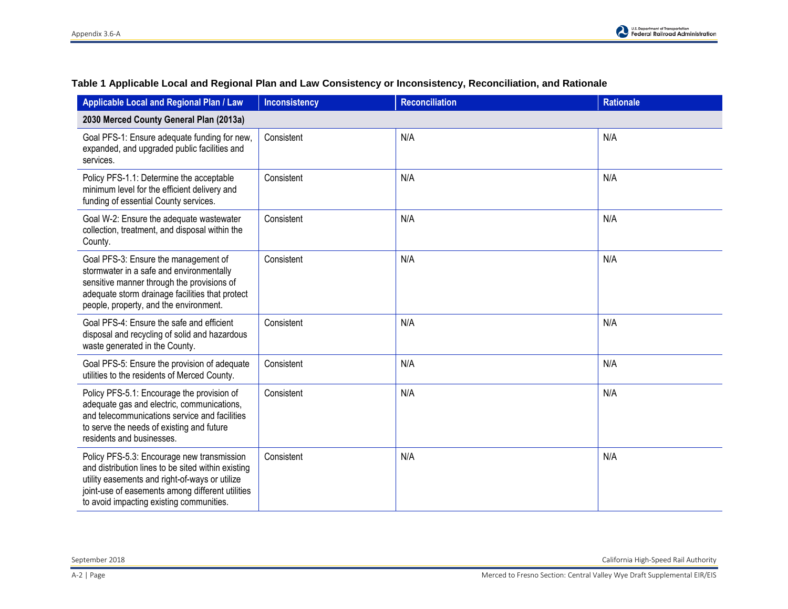| Applicable Local and Regional Plan / Law                                                                                                                                                                                                           | <b>Inconsistency</b> | <b>Reconciliation</b> | <b>Rationale</b> |
|----------------------------------------------------------------------------------------------------------------------------------------------------------------------------------------------------------------------------------------------------|----------------------|-----------------------|------------------|
| 2030 Merced County General Plan (2013a)                                                                                                                                                                                                            |                      |                       |                  |
| Goal PFS-1: Ensure adequate funding for new,<br>expanded, and upgraded public facilities and<br>services.                                                                                                                                          | Consistent           | N/A                   | N/A              |
| Policy PFS-1.1: Determine the acceptable<br>minimum level for the efficient delivery and<br>funding of essential County services.                                                                                                                  | Consistent           | N/A                   | N/A              |
| Goal W-2: Ensure the adequate wastewater<br>collection, treatment, and disposal within the<br>County.                                                                                                                                              | Consistent           | N/A                   | N/A              |
| Goal PFS-3: Ensure the management of<br>stormwater in a safe and environmentally<br>sensitive manner through the provisions of<br>adequate storm drainage facilities that protect<br>people, property, and the environment.                        | Consistent           | N/A                   | N/A              |
| Goal PFS-4: Ensure the safe and efficient<br>disposal and recycling of solid and hazardous<br>waste generated in the County.                                                                                                                       | Consistent           | N/A                   | N/A              |
| Goal PFS-5: Ensure the provision of adequate<br>utilities to the residents of Merced County.                                                                                                                                                       | Consistent           | N/A                   | N/A              |
| Policy PFS-5.1: Encourage the provision of<br>adequate gas and electric, communications,<br>and telecommunications service and facilities<br>to serve the needs of existing and future<br>residents and businesses.                                | Consistent           | N/A                   | N/A              |
| Policy PFS-5.3: Encourage new transmission<br>and distribution lines to be sited within existing<br>utility easements and right-of-ways or utilize<br>joint-use of easements among different utilities<br>to avoid impacting existing communities. | Consistent           | N/A                   | N/A              |

## **Table 1 Applicable Local and Regional Plan and Law Consistency or Inconsistency, Reconciliation, and Rationale**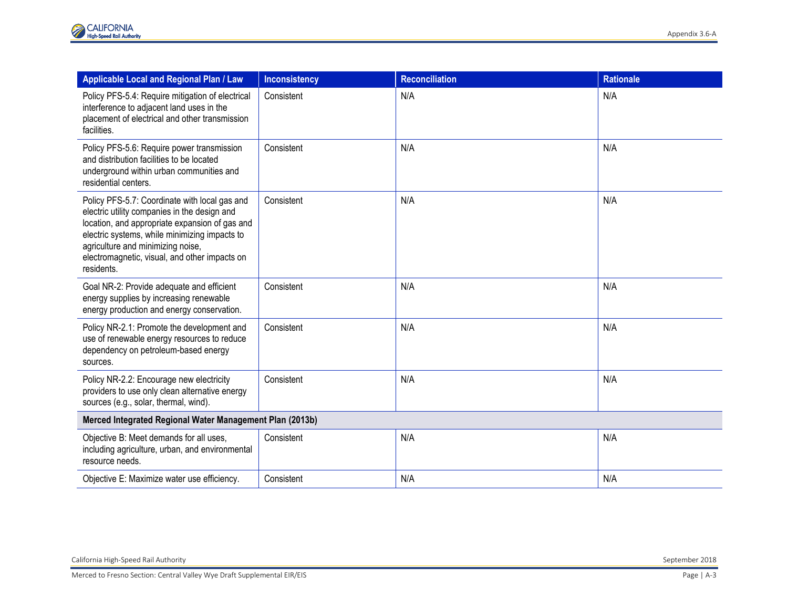| Applicable Local and Regional Plan / Law                                                                                                                                                                                                                                                             | <b>Inconsistency</b> | <b>Reconciliation</b> | <b>Rationale</b> |
|------------------------------------------------------------------------------------------------------------------------------------------------------------------------------------------------------------------------------------------------------------------------------------------------------|----------------------|-----------------------|------------------|
| Policy PFS-5.4: Require mitigation of electrical<br>interference to adjacent land uses in the<br>placement of electrical and other transmission<br>facilities.                                                                                                                                       | Consistent           | N/A                   | N/A              |
| Policy PFS-5.6: Require power transmission<br>and distribution facilities to be located<br>underground within urban communities and<br>residential centers.                                                                                                                                          | Consistent           | N/A                   | N/A              |
| Policy PFS-5.7: Coordinate with local gas and<br>electric utility companies in the design and<br>location, and appropriate expansion of gas and<br>electric systems, while minimizing impacts to<br>agriculture and minimizing noise,<br>electromagnetic, visual, and other impacts on<br>residents. | Consistent           | N/A                   | N/A              |
| Goal NR-2: Provide adequate and efficient<br>energy supplies by increasing renewable<br>energy production and energy conservation.                                                                                                                                                                   | Consistent           | N/A                   | N/A              |
| Policy NR-2.1: Promote the development and<br>use of renewable energy resources to reduce<br>dependency on petroleum-based energy<br>sources.                                                                                                                                                        | Consistent           | N/A                   | N/A              |
| Policy NR-2.2: Encourage new electricity<br>providers to use only clean alternative energy<br>sources (e.g., solar, thermal, wind).                                                                                                                                                                  | Consistent           | N/A                   | N/A              |
| Merced Integrated Regional Water Management Plan (2013b)                                                                                                                                                                                                                                             |                      |                       |                  |
| Objective B: Meet demands for all uses,<br>including agriculture, urban, and environmental<br>resource needs.                                                                                                                                                                                        | Consistent           | N/A                   | N/A              |
| Objective E: Maximize water use efficiency.                                                                                                                                                                                                                                                          | Consistent           | N/A                   | N/A              |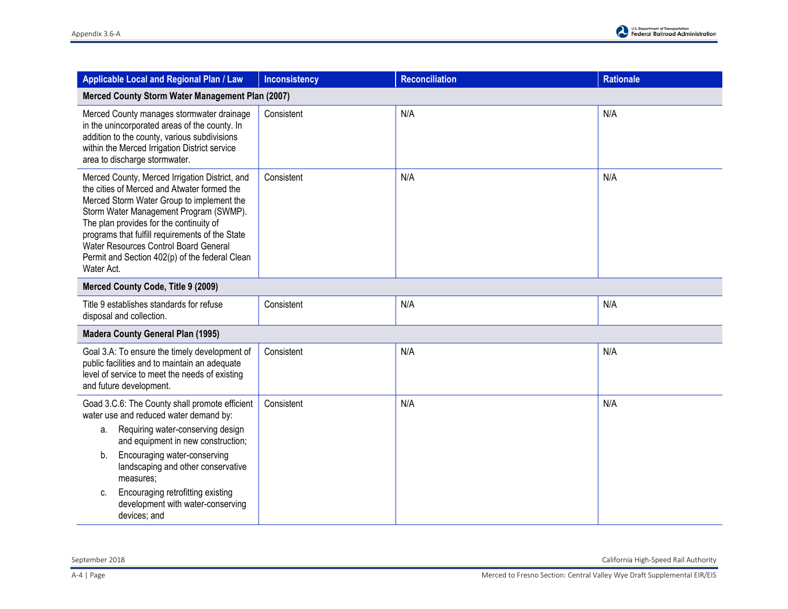

| Applicable Local and Regional Plan / Law                                                                                                                                                                                                                                                                                                                                                    | <b>Inconsistency</b> | <b>Reconciliation</b> | <b>Rationale</b> |
|---------------------------------------------------------------------------------------------------------------------------------------------------------------------------------------------------------------------------------------------------------------------------------------------------------------------------------------------------------------------------------------------|----------------------|-----------------------|------------------|
| Merced County Storm Water Management Plan (2007)                                                                                                                                                                                                                                                                                                                                            |                      |                       |                  |
| Merced County manages stormwater drainage<br>in the unincorporated areas of the county. In<br>addition to the county, various subdivisions<br>within the Merced Irrigation District service<br>area to discharge stormwater.                                                                                                                                                                | Consistent           | N/A                   | N/A              |
| Merced County, Merced Irrigation District, and<br>the cities of Merced and Atwater formed the<br>Merced Storm Water Group to implement the<br>Storm Water Management Program (SWMP).<br>The plan provides for the continuity of<br>programs that fulfill requirements of the State<br>Water Resources Control Board General<br>Permit and Section 402(p) of the federal Clean<br>Water Act. | Consistent           | N/A                   | N/A              |
| Merced County Code, Title 9 (2009)                                                                                                                                                                                                                                                                                                                                                          |                      |                       |                  |
| Title 9 establishes standards for refuse<br>disposal and collection.                                                                                                                                                                                                                                                                                                                        | Consistent           | N/A                   | N/A              |
| <b>Madera County General Plan (1995)</b>                                                                                                                                                                                                                                                                                                                                                    |                      |                       |                  |
| Goal 3.A: To ensure the timely development of<br>public facilities and to maintain an adequate<br>level of service to meet the needs of existing<br>and future development.                                                                                                                                                                                                                 | Consistent           | N/A                   | N/A              |
| Goad 3.C.6: The County shall promote efficient<br>water use and reduced water demand by:                                                                                                                                                                                                                                                                                                    | Consistent           | N/A                   | N/A              |
| Requiring water-conserving design<br>а.<br>and equipment in new construction;                                                                                                                                                                                                                                                                                                               |                      |                       |                  |
| Encouraging water-conserving<br>b.<br>landscaping and other conservative<br>measures;                                                                                                                                                                                                                                                                                                       |                      |                       |                  |
| Encouraging retrofitting existing<br>C.<br>development with water-conserving<br>devices; and                                                                                                                                                                                                                                                                                                |                      |                       |                  |

September 2018 California High-Speed Rail Authority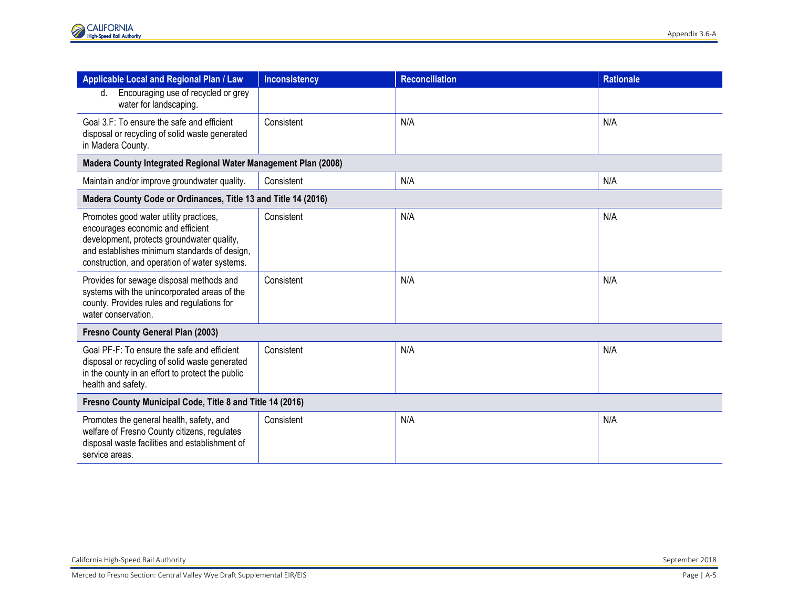| Applicable Local and Regional Plan / Law                                                                                                                                                                                   | <b>Inconsistency</b> | <b>Reconciliation</b> | <b>Rationale</b> |  |
|----------------------------------------------------------------------------------------------------------------------------------------------------------------------------------------------------------------------------|----------------------|-----------------------|------------------|--|
| Encouraging use of recycled or grey<br>d.<br>water for landscaping.                                                                                                                                                        |                      |                       |                  |  |
| Goal 3.F: To ensure the safe and efficient<br>disposal or recycling of solid waste generated<br>in Madera County.                                                                                                          | Consistent           | N/A                   | N/A              |  |
| Madera County Integrated Regional Water Management Plan (2008)                                                                                                                                                             |                      |                       |                  |  |
| Maintain and/or improve groundwater quality.                                                                                                                                                                               | Consistent           | N/A                   | N/A              |  |
| Madera County Code or Ordinances, Title 13 and Title 14 (2016)                                                                                                                                                             |                      |                       |                  |  |
| Promotes good water utility practices,<br>encourages economic and efficient<br>development, protects groundwater quality,<br>and establishes minimum standards of design,<br>construction, and operation of water systems. | Consistent           | N/A                   | N/A              |  |
| Provides for sewage disposal methods and<br>systems with the unincorporated areas of the<br>county. Provides rules and regulations for<br>water conservation.                                                              | Consistent           | N/A                   | N/A              |  |
| Fresno County General Plan (2003)                                                                                                                                                                                          |                      |                       |                  |  |
| Goal PF-F: To ensure the safe and efficient<br>disposal or recycling of solid waste generated<br>in the county in an effort to protect the public<br>health and safety.                                                    | Consistent           | N/A                   | N/A              |  |
| Fresno County Municipal Code, Title 8 and Title 14 (2016)                                                                                                                                                                  |                      |                       |                  |  |
| Promotes the general health, safety, and<br>welfare of Fresno County citizens, regulates<br>disposal waste facilities and establishment of<br>service areas.                                                               | Consistent           | N/A                   | N/A              |  |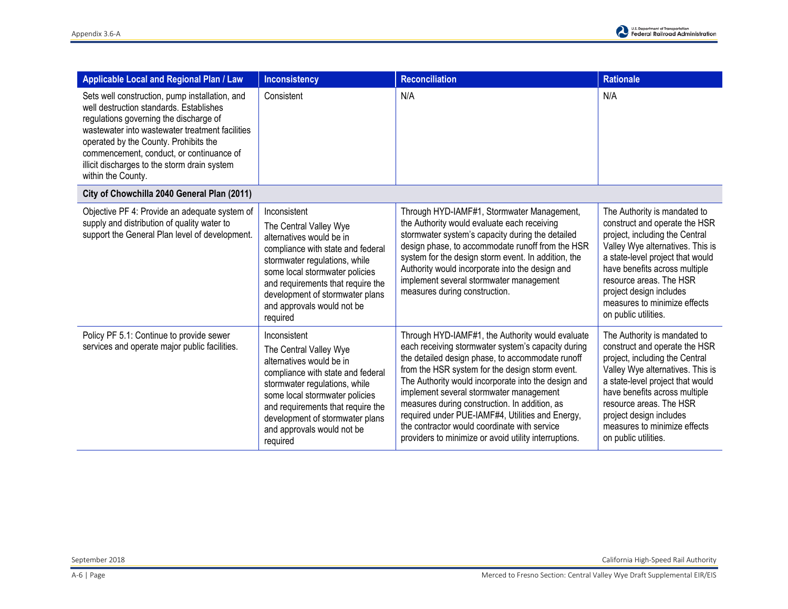| <b>Applicable Local and Regional Plan / Law</b>                                                                                                                                                                                                                                                                                                   | <b>Inconsistency</b>                                                                                                                                                                                                                                                                         | <b>Reconciliation</b>                                                                                                                                                                                                                                                                                                                                                                                                                                                                                                         | <b>Rationale</b>                                                                                                                                                                                                                                                                                                       |
|---------------------------------------------------------------------------------------------------------------------------------------------------------------------------------------------------------------------------------------------------------------------------------------------------------------------------------------------------|----------------------------------------------------------------------------------------------------------------------------------------------------------------------------------------------------------------------------------------------------------------------------------------------|-------------------------------------------------------------------------------------------------------------------------------------------------------------------------------------------------------------------------------------------------------------------------------------------------------------------------------------------------------------------------------------------------------------------------------------------------------------------------------------------------------------------------------|------------------------------------------------------------------------------------------------------------------------------------------------------------------------------------------------------------------------------------------------------------------------------------------------------------------------|
| Sets well construction, pump installation, and<br>well destruction standards. Establishes<br>regulations governing the discharge of<br>wastewater into wastewater treatment facilities<br>operated by the County. Prohibits the<br>commencement, conduct, or continuance of<br>illicit discharges to the storm drain system<br>within the County. | Consistent                                                                                                                                                                                                                                                                                   | N/A                                                                                                                                                                                                                                                                                                                                                                                                                                                                                                                           | N/A                                                                                                                                                                                                                                                                                                                    |
| City of Chowchilla 2040 General Plan (2011)                                                                                                                                                                                                                                                                                                       |                                                                                                                                                                                                                                                                                              |                                                                                                                                                                                                                                                                                                                                                                                                                                                                                                                               |                                                                                                                                                                                                                                                                                                                        |
| Objective PF 4: Provide an adequate system of<br>supply and distribution of quality water to<br>support the General Plan level of development.                                                                                                                                                                                                    | Inconsistent<br>The Central Valley Wye<br>alternatives would be in<br>compliance with state and federal<br>stormwater regulations, while<br>some local stormwater policies<br>and requirements that require the<br>development of stormwater plans<br>and approvals would not be<br>required | Through HYD-IAMF#1, Stormwater Management,<br>the Authority would evaluate each receiving<br>stormwater system's capacity during the detailed<br>design phase, to accommodate runoff from the HSR<br>system for the design storm event. In addition, the<br>Authority would incorporate into the design and<br>implement several stormwater management<br>measures during construction.                                                                                                                                       | The Authority is mandated to<br>construct and operate the HSR<br>project, including the Central<br>Valley Wye alternatives. This is<br>a state-level project that would<br>have benefits across multiple<br>resource areas. The HSR<br>project design includes<br>measures to minimize effects<br>on public utilities. |
| Policy PF 5.1: Continue to provide sewer<br>services and operate major public facilities.                                                                                                                                                                                                                                                         | Inconsistent<br>The Central Valley Wye<br>alternatives would be in<br>compliance with state and federal<br>stormwater regulations, while<br>some local stormwater policies<br>and requirements that require the<br>development of stormwater plans<br>and approvals would not be<br>required | Through HYD-IAMF#1, the Authority would evaluate<br>each receiving stormwater system's capacity during<br>the detailed design phase, to accommodate runoff<br>from the HSR system for the design storm event.<br>The Authority would incorporate into the design and<br>implement several stormwater management<br>measures during construction. In addition, as<br>required under PUE-IAMF#4, Utilities and Energy,<br>the contractor would coordinate with service<br>providers to minimize or avoid utility interruptions. | The Authority is mandated to<br>construct and operate the HSR<br>project, including the Central<br>Valley Wye alternatives. This is<br>a state-level project that would<br>have benefits across multiple<br>resource areas. The HSR<br>project design includes<br>measures to minimize effects<br>on public utilities. |

September 2018 California High-Speed Rail Authority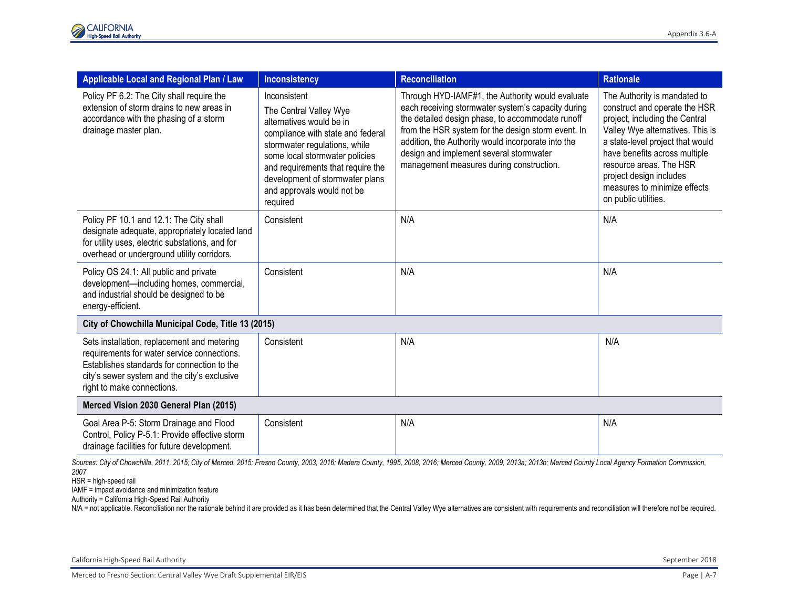| <b>Applicable Local and Regional Plan / Law</b>                                                                                                                                                                         | <b>Inconsistency</b>                                                                                                                                                                                                                                                                         | <b>Reconciliation</b>                                                                                                                                                                                                                                                                                                                                         | <b>Rationale</b>                                                                                                                                                                                                                                                                                                       |
|-------------------------------------------------------------------------------------------------------------------------------------------------------------------------------------------------------------------------|----------------------------------------------------------------------------------------------------------------------------------------------------------------------------------------------------------------------------------------------------------------------------------------------|---------------------------------------------------------------------------------------------------------------------------------------------------------------------------------------------------------------------------------------------------------------------------------------------------------------------------------------------------------------|------------------------------------------------------------------------------------------------------------------------------------------------------------------------------------------------------------------------------------------------------------------------------------------------------------------------|
| Policy PF 6.2: The City shall require the<br>extension of storm drains to new areas in<br>accordance with the phasing of a storm<br>drainage master plan.                                                               | Inconsistent<br>The Central Valley Wye<br>alternatives would be in<br>compliance with state and federal<br>stormwater regulations, while<br>some local stormwater policies<br>and requirements that require the<br>development of stormwater plans<br>and approvals would not be<br>required | Through HYD-IAMF#1, the Authority would evaluate<br>each receiving stormwater system's capacity during<br>the detailed design phase, to accommodate runoff<br>from the HSR system for the design storm event. In<br>addition, the Authority would incorporate into the<br>design and implement several stormwater<br>management measures during construction. | The Authority is mandated to<br>construct and operate the HSR<br>project, including the Central<br>Valley Wye alternatives. This is<br>a state-level project that would<br>have benefits across multiple<br>resource areas. The HSR<br>project design includes<br>measures to minimize effects<br>on public utilities. |
| Policy PF 10.1 and 12.1: The City shall<br>designate adequate, appropriately located land<br>for utility uses, electric substations, and for<br>overhead or underground utility corridors.                              | Consistent                                                                                                                                                                                                                                                                                   | N/A                                                                                                                                                                                                                                                                                                                                                           | N/A                                                                                                                                                                                                                                                                                                                    |
| Policy OS 24.1: All public and private<br>development-including homes, commercial,<br>and industrial should be designed to be<br>energy-efficient.                                                                      | Consistent                                                                                                                                                                                                                                                                                   | N/A                                                                                                                                                                                                                                                                                                                                                           | N/A                                                                                                                                                                                                                                                                                                                    |
| City of Chowchilla Municipal Code, Title 13 (2015)                                                                                                                                                                      |                                                                                                                                                                                                                                                                                              |                                                                                                                                                                                                                                                                                                                                                               |                                                                                                                                                                                                                                                                                                                        |
| Sets installation, replacement and metering<br>requirements for water service connections.<br>Establishes standards for connection to the<br>city's sewer system and the city's exclusive<br>right to make connections. | Consistent                                                                                                                                                                                                                                                                                   | N/A                                                                                                                                                                                                                                                                                                                                                           | N/A                                                                                                                                                                                                                                                                                                                    |
| Merced Vision 2030 General Plan (2015)                                                                                                                                                                                  |                                                                                                                                                                                                                                                                                              |                                                                                                                                                                                                                                                                                                                                                               |                                                                                                                                                                                                                                                                                                                        |
| Goal Area P-5: Storm Drainage and Flood<br>Control, Policy P-5.1: Provide effective storm<br>drainage facilities for future development.                                                                                | Consistent                                                                                                                                                                                                                                                                                   | N/A                                                                                                                                                                                                                                                                                                                                                           | N/A                                                                                                                                                                                                                                                                                                                    |

*2007*

HSR = high-speed rail

IAMF = impact avoidance and minimization feature

Authority = California High-Speed Rail Authority

N/A = not applicable. Reconciliation nor the rationale behind it are provided as it has been determined that the Central Valley Wye alternatives are consistent with requirements and reconciliation will therefore not be req